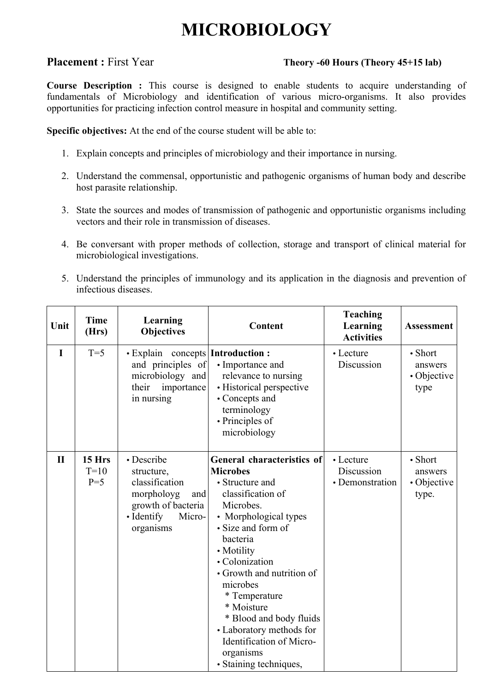# **MICROBIOLOGY**

### **Placement :** First Year **Theory -60 Hours (Theory 45+15 lab)**

**Course Description :** This course is designed to enable students to acquire understanding of fundamentals of Microbiology and identification of various micro-organisms. It also provides opportunities for practicing infection control measure in hospital and community setting.

**Specific objectives:** At the end of the course student will be able to:

- 1. Explain concepts and principles of microbiology and their importance in nursing.
- 2. Understand the commensal, opportunistic and pathogenic organisms of human body and describe host parasite relationship.
- 3. State the sources and modes of transmission of pathogenic and opportunistic organisms including vectors and their role in transmission of diseases.
- 4. Be conversant with proper methods of collection, storage and transport of clinical material for microbiological investigations.
- 5. Understand the principles of immunology and its application in the diagnosis and prevention of infectious diseases.

| Unit         | <b>Time</b><br>(Hrs)      | Learning<br><b>Objectives</b>                                                                                                  | Content                                                                                                                                                                                                                                                                                                                                                                                         | <b>Teaching</b><br>Learning<br><b>Activities</b> | <b>Assessment</b>                                 |
|--------------|---------------------------|--------------------------------------------------------------------------------------------------------------------------------|-------------------------------------------------------------------------------------------------------------------------------------------------------------------------------------------------------------------------------------------------------------------------------------------------------------------------------------------------------------------------------------------------|--------------------------------------------------|---------------------------------------------------|
| $\mathbf I$  | $T=5$                     | $\bullet$ Explain concepts <b>Introduction</b> :<br>and principles of<br>microbiology and<br>their<br>importance<br>in nursing | • Importance and<br>relevance to nursing<br>• Historical perspective<br>• Concepts and<br>terminology<br>• Principles of<br>microbiology                                                                                                                                                                                                                                                        | • Lecture<br>Discussion                          | $\bullet$ Short<br>answers<br>• Objective<br>type |
| $\mathbf{I}$ | 15 Hrs<br>$T=10$<br>$P=5$ | • Describe<br>structure,<br>classification<br>morpholoyg<br>and<br>growth of bacteria<br>• Identify<br>Micro-<br>organisms     | General characteristics of<br><b>Microbes</b><br>• Structure and<br>classification of<br>Microbes.<br>• Morphological types<br>• Size and form of<br>bacteria<br>• Motility<br>• Colonization<br>• Growth and nutrition of<br>microbes<br>* Temperature<br>* Moisture<br>* Blood and body fluids<br>• Laboratory methods for<br>Identification of Micro-<br>organisms<br>• Staining techniques, | • Lecture<br>Discussion<br>• Demonstration       | • Short<br>answers<br>• Objective<br>type.        |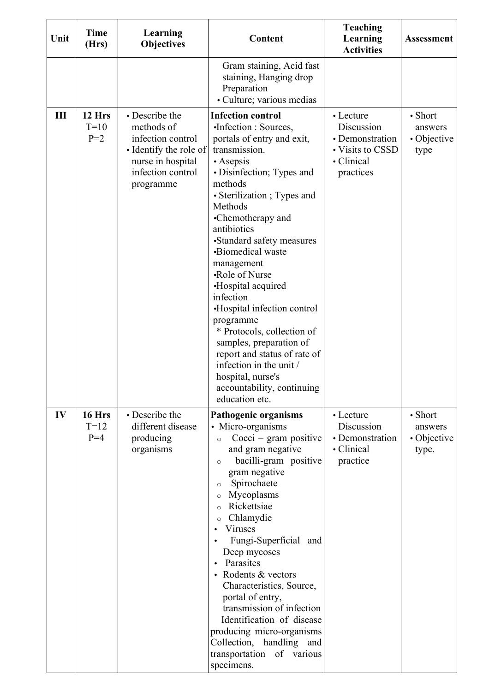| Unit | <b>Time</b><br>(Hrs)      | Learning<br><b>Objectives</b>                                                                                                      | Content                                                                                                                                                                                                                                                                                                                                                                                                                                                                                                                                                                                              | <b>Teaching</b><br>Learning<br><b>Activities</b>                                          | <b>Assessment</b>                          |
|------|---------------------------|------------------------------------------------------------------------------------------------------------------------------------|------------------------------------------------------------------------------------------------------------------------------------------------------------------------------------------------------------------------------------------------------------------------------------------------------------------------------------------------------------------------------------------------------------------------------------------------------------------------------------------------------------------------------------------------------------------------------------------------------|-------------------------------------------------------------------------------------------|--------------------------------------------|
|      |                           |                                                                                                                                    | Gram staining, Acid fast<br>staining, Hanging drop<br>Preparation<br>• Culture; various medias                                                                                                                                                                                                                                                                                                                                                                                                                                                                                                       |                                                                                           |                                            |
| Ш    | 12 Hrs<br>$T=10$<br>$P=2$ | • Describe the<br>methods of<br>infection control<br>• Identify the role of<br>nurse in hospital<br>infection control<br>programme | <b>Infection control</b><br>•Infection : Sources,<br>portals of entry and exit,<br>transmission.<br>$\bullet$ Asepsis<br>• Disinfection; Types and<br>methods<br>• Sterilization; Types and<br>Methods<br>•Chemotherapy and<br>antibiotics<br>•Standard safety measures<br>•Biomedical waste<br>management<br>•Role of Nurse<br>•Hospital acquired<br>infection<br>•Hospital infection control<br>programme<br>* Protocols, collection of<br>samples, preparation of<br>report and status of rate of<br>infection in the unit /<br>hospital, nurse's<br>accountability, continuing<br>education etc. | • Lecture<br>Discussion<br>• Demonstration<br>• Visits to CSSD<br>• Clinical<br>practices | • Short<br>answers<br>• Objective<br>type  |
| IV   | 16 Hrs<br>$T=12$<br>$P=4$ | • Describe the<br>different disease<br>producing<br>organisms                                                                      | <b>Pathogenic organisms</b><br>• Micro-organisms<br>$Cocci - gram$ positive<br>$\circ$<br>and gram negative<br>bacilli-gram positive<br>$\circ$<br>gram negative<br>Spirochaete<br>$\circ$<br>Mycoplasms<br>$\circ$<br>Rickettsiae<br>$\circ$<br>Chlamydie<br>$\circ$<br>Viruses<br>Fungi-Superficial and<br>Deep mycoses<br>Parasites<br>$\bullet$<br>Rodents & vectors<br>Characteristics, Source,<br>portal of entry,<br>transmission of infection<br>Identification of disease<br>producing micro-organisms<br>Collection, handling<br>and<br>transportation of various<br>specimens.            | • Lecture<br>Discussion<br>• Demonstration<br>• Clinical<br>practice                      | • Short<br>answers<br>• Objective<br>type. |